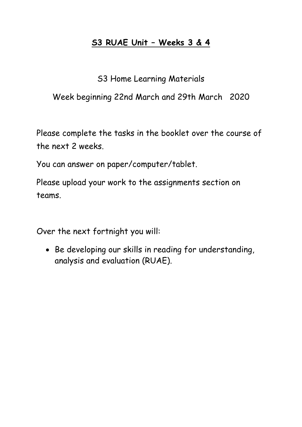# **S3 RUAE Unit – Weeks 3 & 4**

# S3 Home Learning Materials

# Week beginning 22nd March and 29th March 2020

Please complete the tasks in the booklet over the course of the next 2 weeks.

You can answer on paper/computer/tablet.

Please upload your work to the assignments section on teams.

Over the next fortnight you will:

• Be developing our skills in reading for understanding, analysis and evaluation (RUAE).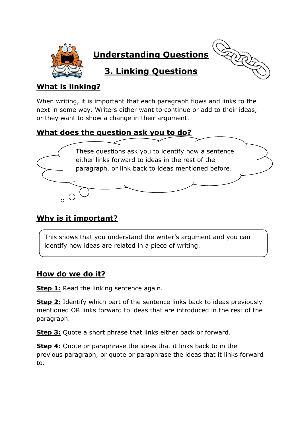

**Understanding Questions**

**3. Linking Questions**



## **What is linking?**

When writing, it is important that each paragraph flows and links to the next in some way. Writers either want to continue or add to their ideas, or they want to show a change in their argument.

### **What does the question ask you to do?**



### **Why is it important?**

This shows that you understand the writer's argument and you can identify how ideas are related in a piece of writing.

### **How do we do it?**

**Step 1:** Read the linking sentence again.

**Step 2:** Identify which part of the sentence links back to ideas previously mentioned OR links forward to ideas that are introduced in the rest of the paragraph.

**Step 3:** Quote a short phrase that links either back or forward.

**Step 4:** Quote or paraphrase the ideas that it links back to in the previous paragraph, or quote or paraphrase the ideas that it links forward to.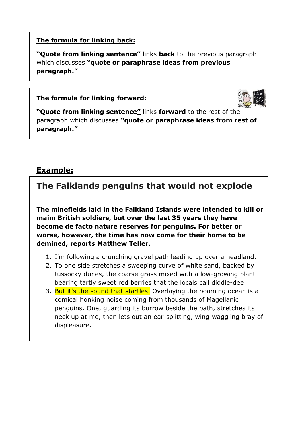#### **The formula for linking back:**

**"Quote from linking sentence"** links **back** to the previous paragraph which discusses **"quote or paraphrase ideas from previous paragraph."**

#### **The formula for linking forward:**



**"Quote from linking sentence"** links **forward** to the rest of the paragraph which discusses **"quote or paraphrase ideas from rest of paragraph."**

### **Example:**

**The Falklands penguins that would not explode**

**The minefields laid in the Falkland Islands were intended to kill or maim British soldiers, but over the last 35 years they have become de facto nature reserves for penguins. For better or worse, however, the time has now come for their home to be demined, reports Matthew Teller.**

- 1. I'm following a crunching gravel path leading up over a headland.
- 2. To one side stretches a sweeping curve of white sand, backed by tussocky dunes, the coarse grass mixed with a low-growing plant bearing tartly sweet red berries that the locals call diddle-dee.
- 3. But it's the sound that startles. Overlaying the booming ocean is a comical honking noise coming from thousands of Magellanic penguins. One, guarding its burrow beside the path, stretches its neck up at me, then lets out an ear-splitting, wing-waggling bray of displeasure.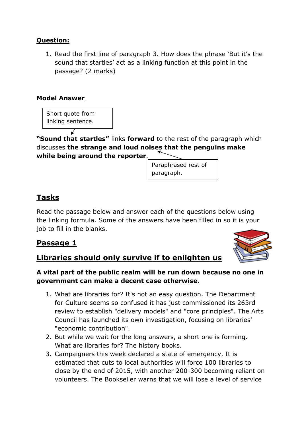#### **Question:**

1. Read the first line of paragraph 3. How does the phrase 'But it's the sound that startles' act as a linking function at this point in the passage? (2 marks)

#### **Model Answer**

Short quote from linking sentence.

**"Sound that startles"** links **forward** to the rest of the paragraph which discusses **the strange and loud noises that the penguins make while being around the reporter**.

> Paraphrased rest of paragraph.

### **Tasks**

Read the passage below and answer each of the questions below using the linking formula. Some of the answers have been filled in so it is your job to fill in the blanks.

### **Passage 1**

### **Libraries should only survive if to enlighten us**



#### **A vital part of the public realm will be run down because no one in government can make a decent case otherwise.**

- 1. What are libraries for? It's not an easy question. The Department for Culture seems so confused it has just commissioned its 263rd review to establish "delivery models" and "core principles". The Arts Council has launched its own investigation, focusing on libraries' "economic contribution".
- 2. But while we wait for the long answers, a short one is forming. What are libraries for? The history books.
- 3. Campaigners this week declared a state of emergency. It is estimated that cuts to local authorities will force 100 libraries to close by the end of 2015, with another 200-300 becoming reliant on volunteers. The Bookseller warns that we will lose a level of service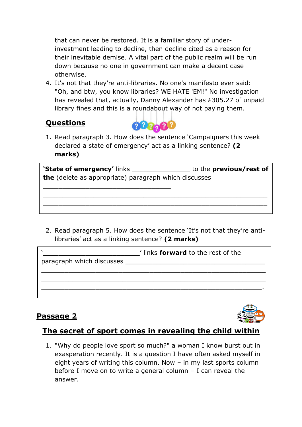that can never be restored. It is a familiar story of underinvestment leading to decline, then decline cited as a reason for their inevitable demise. A vital part of the public realm will be run down because no one in government can make a decent case otherwise.

4. It's not that they're anti-libraries. No one's manifesto ever said: "Oh, and btw, you know libraries? WE HATE 'EM!" No investigation has revealed that, actually, Danny Alexander has £305.27 of unpaid library fines and this is a roundabout way of not paying them.

### **Questions**



1. Read paragraph 3. How does the sentence 'Campaigners this week declared a state of emergency' act as a linking sentence? **(2 marks)**

**'State of emergency'** links \_\_\_\_\_\_\_\_\_\_\_\_\_\_\_ to the **previous/rest of the** (delete as appropriate) paragraph which discusses

\_\_\_\_\_\_\_\_\_\_\_\_\_\_\_\_\_\_\_\_\_\_\_\_\_\_\_\_\_\_\_\_\_\_\_\_\_\_\_\_\_\_\_\_\_\_\_\_\_\_\_\_\_\_\_\_\_\_ \_\_\_\_\_\_\_\_\_\_\_\_\_\_\_\_\_\_\_\_\_\_\_\_\_\_\_\_\_\_\_\_\_\_\_\_\_\_\_\_\_\_\_\_\_\_\_\_\_\_\_\_\_\_\_\_\_\_  $\mathcal{L}_\text{max}$  and  $\mathcal{L}_\text{max}$  and  $\mathcal{L}_\text{max}$  and  $\mathcal{L}_\text{max}$  and  $\mathcal{L}_\text{max}$ 

\_\_\_\_\_\_\_\_\_\_\_\_\_\_\_\_\_\_\_\_\_\_\_\_\_\_\_\_\_\_\_\_\_

2. Read paragraph 5. How does the sentence 'It's not that they're antilibraries' act as a linking sentence? **(2 marks)**

|                                    | I links <b>forward</b> to the rest of the |
|------------------------------------|-------------------------------------------|
| paragraph which discusses ________ |                                           |
|                                    |                                           |
|                                    |                                           |
|                                    |                                           |

# **Passage 2**



### **The secret of sport comes in revealing the child within**

1. "Why do people love sport so much?" a woman I know burst out in exasperation recently. It is a question I have often asked myself in eight years of writing this column. Now – in my last sports column before I move on to write a general column – I can reveal the answer.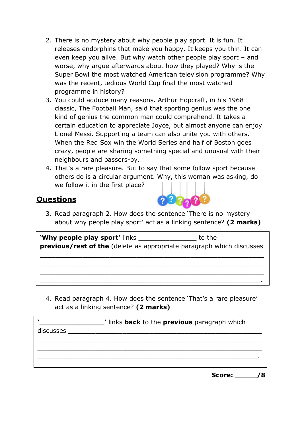- 2. There is no mystery about why people play sport. It is fun. It releases endorphins that make you happy. It keeps you thin. It can even keep you alive. But why watch other people play sport – and worse, why argue afterwards about how they played? Why is the Super Bowl the most watched American television programme? Why was the recent, tedious World Cup final the most watched programme in history?
- 3. You could adduce many reasons. Arthur Hopcraft, in his 1968 classic, The Football Man, said that sporting genius was the one kind of genius the common man could comprehend. It takes a certain education to appreciate Joyce, but almost anyone can enjoy Lionel Messi. Supporting a team can also unite you with others. When the Red Sox win the World Series and half of Boston goes crazy, people are sharing something special and unusual with their neighbours and passers-by.
- 4. That's a rare pleasure. But to say that some follow sport because others do is a circular argument. Why, this woman was asking, do we follow it in the first place?

#### **Questions**



3. Read paragraph 2. How does the sentence 'There is no mystery about why people play sport' act as a linking sentence? **(2 marks)**

**'Why people play sport'** links **to the state of the state of the state of the state of the state of the state of the state of the state of the state of the state of the state of the state of the state of the state of the previous/rest of the** (delete as appropriate paragraph which discusses

\_\_\_\_\_\_\_\_\_\_\_\_\_\_\_\_\_\_\_\_\_\_\_\_\_\_\_\_\_\_\_\_\_\_\_\_\_\_\_\_\_\_\_\_\_\_\_\_\_\_\_\_\_\_\_\_\_\_ \_\_\_\_\_\_\_\_\_\_\_\_\_\_\_\_\_\_\_\_\_\_\_\_\_\_\_\_\_\_\_\_\_\_\_\_\_\_\_\_\_\_\_\_\_\_\_\_\_\_\_\_\_\_\_\_\_\_ \_\_\_\_\_\_\_\_\_\_\_\_\_\_\_\_\_\_\_\_\_\_\_\_\_\_\_\_\_\_\_\_\_\_\_\_\_\_\_\_\_\_\_\_\_\_\_\_\_\_\_\_\_\_\_\_\_\_ \_\_\_\_\_\_\_\_\_\_\_\_\_\_\_\_\_\_\_\_\_\_\_\_\_\_\_\_\_\_\_\_\_\_\_\_\_\_\_\_\_\_\_\_\_\_\_\_\_\_\_\_\_\_\_\_\_.

4. Read paragraph 4. How does the sentence 'That's a rare pleasure' act as a linking sentence? **(2 marks)**

|           | If links <b>back</b> to the <b>previous</b> paragraph which |  |
|-----------|-------------------------------------------------------------|--|
| discusses |                                                             |  |
|           |                                                             |  |
|           |                                                             |  |
|           |                                                             |  |
|           |                                                             |  |

**Score: \_\_\_\_\_/8**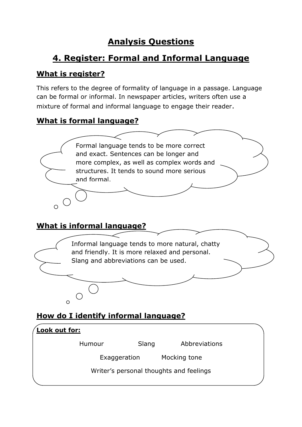# **Analysis Questions**

# **4. Register: Formal and Informal Language**

## **What is register?**

This refers to the degree of formality of language in a passage. Language can be formal or informal. In newspaper articles, writers often use a mixture of formal and informal language to engage their reader.

### **What is formal language?**



### **What is informal language?**



# **How do I identify informal language?**

| <u>Look out for:</u>                    |              |       |               |  |
|-----------------------------------------|--------------|-------|---------------|--|
|                                         | Humour       | Slang | Abbreviations |  |
|                                         | Exaggeration |       | Mocking tone  |  |
| Writer's personal thoughts and feelings |              |       |               |  |
|                                         |              |       |               |  |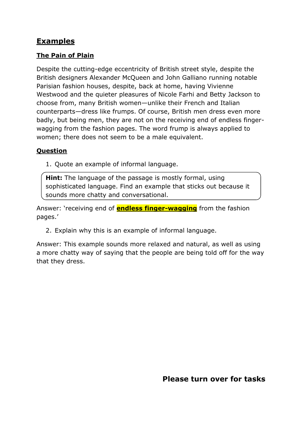### **Examples**

#### **The Pain of Plain**

Despite the cutting-edge eccentricity of British street style, despite the British designers Alexander McQueen and John Galliano running notable Parisian fashion houses, despite, back at home, having Vivienne Westwood and the quieter pleasures of Nicole Farhi and Betty Jackson to choose from, many British women—unlike their French and Italian counterparts—dress like frumps. Of course, British men dress even more badly, but being men, they are not on the receiving end of endless fingerwagging from the fashion pages. The word frump is always applied to women; there does not seem to be a male equivalent.

#### **Question**

1. Quote an example of informal language.

**Hint:** The language of the passage is mostly formal, using sophisticated language. Find an example that sticks out because it sounds more chatty and conversational.

Answer: 'receiving end of **endless finger-wagging** from the fashion pages.'

2. Explain why this is an example of informal language.

Answer: This example sounds more relaxed and natural, as well as using a more chatty way of saying that the people are being told off for the way that they dress.

**Please turn over for tasks**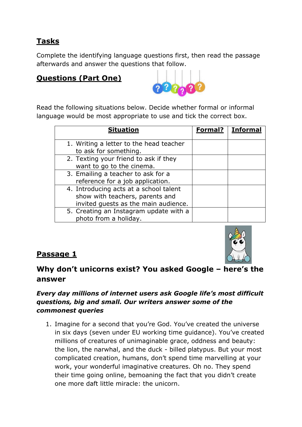# **Tasks**

Complete the identifying language questions first, then read the passage afterwards and answer the questions that follow.

# **Questions (Part One)**



Read the following situations below. Decide whether formal or informal language would be most appropriate to use and tick the correct box.

| <b>Situation</b>                                                                                                  | Formal? | <b>Informal</b> |
|-------------------------------------------------------------------------------------------------------------------|---------|-----------------|
| 1. Writing a letter to the head teacher<br>to ask for something.                                                  |         |                 |
| 2. Texting your friend to ask if they<br>want to go to the cinema.                                                |         |                 |
| 3. Emailing a teacher to ask for a<br>reference for a job application.                                            |         |                 |
| 4. Introducing acts at a school talent<br>show with teachers, parents and<br>invited guests as the main audience. |         |                 |
| 5. Creating an Instagram update with a<br>photo from a holiday.                                                   |         |                 |



### **Passage 1**

### **Why don't unicorns exist? You asked Google – here's the answer**

#### *Every day millions of internet users ask Google life's most difficult questions, big and small. Our writers answer some of the commonest queries*

1. Imagine for a second that you're God. You've created the universe in six days (seven under EU working time guidance). You've created millions of creatures of unimaginable grace, oddness and beauty: the lion, the narwhal, and the duck - billed platypus. But your most complicated creation, humans, don't spend time marvelling at your work, your wonderful imaginative creatures. Oh no. They spend their time going online, bemoaning the fact that you didn't create one more daft little miracle: the unicorn.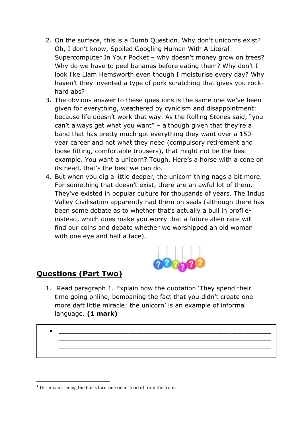- 2. On the surface, this is a Dumb Question. Why don't unicorns exist? Oh, I don't know, Spoiled Googling Human With A Literal Supercomputer In Your Pocket – why doesn't money grow on trees? Why do we have to peel bananas before eating them? Why don't I look like Liam Hemsworth even though I moisturise every day? Why haven't they invented a type of pork scratching that gives you rockhard abs?
- 3. The obvious answer to these questions is the same one we've been given for everything, weathered by cynicism and disappointment: because life doesn't work that way. As the Rolling Stones said, "you can't always get what you want" – although given that they're a band that has pretty much got everything they want over a 150 year career and not what they need (compulsory retirement and loose fitting, comfortable trousers), that might not be the best example. You want a unicorn? Tough. Here's a horse with a cone on its head, that's the best we can do.
- 4. But when you dig a little deeper, the unicorn thing nags a bit more. For something that doesn't exist, there are an awful lot of them. They've existed in popular culture for thousands of years. The Indus Valley Civilisation apparently had them on seals (although there has been some debate as to whether that's actually a bull in profile<sup>1</sup> instead, which does make you worry that a future alien race will find our coins and debate whether we worshipped an old woman with one eye and half a face).



### **Questions (Part Two)**

1. Read paragraph 1. Explain how the quotation 'They spend their time going online, bemoaning the fact that you didn't create one more daft little miracle: the unicorn' is an example of informal language. **(1 mark)**

\_\_\_\_\_\_\_\_\_\_\_\_\_\_\_\_\_\_\_\_\_\_\_\_\_\_\_\_\_\_\_\_\_\_\_\_\_\_\_\_\_\_\_\_\_\_\_\_\_\_\_\_\_\_\_\_\_\_\_\_\_\_\_\_\_\_\_\_\_\_ \_\_\_\_\_\_\_\_\_\_\_\_\_\_\_\_\_\_\_\_\_\_\_\_\_\_\_\_\_\_\_\_\_\_\_\_\_\_\_\_\_\_\_\_\_\_\_\_\_\_\_\_\_\_\_\_\_\_\_\_\_\_\_\_\_\_\_\_\_\_

 $\bullet$   $\overbrace{\hspace{25mm}}$   $\overbrace{\hspace{25mm}}$   $\overbrace{\hspace{25mm}}$   $\overbrace{\hspace{25mm}}$   $\overbrace{\hspace{25mm}}$ 

 $1$  This means seeing the bull's face side on instead of from the front.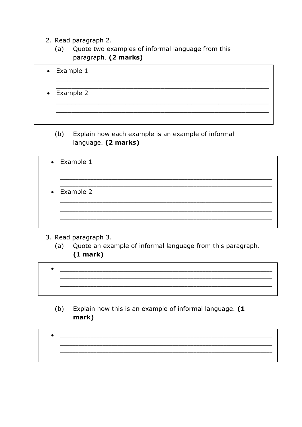- 2. Read paragraph 2.
	- Quote two examples of informal language from this  $(a)$ paragraph. (2 marks)

| $\bullet$ Example 1 |  |  |  |
|---------------------|--|--|--|
| $\bullet$ Example 2 |  |  |  |
|                     |  |  |  |

- $(b)$ Explain how each example is an example of informal language. (2 marks)
- $\bullet$  Example 1 Example 2
- 3. Read paragraph 3.
	- Quote an example of informal language from this paragraph.  $(a)$  $(1 mark)$
- <u> 1989 - Johann John Stone, mars et al. (b. 1989)</u>
	- Explain how this is an example of informal language. (1  $(b)$ mark)

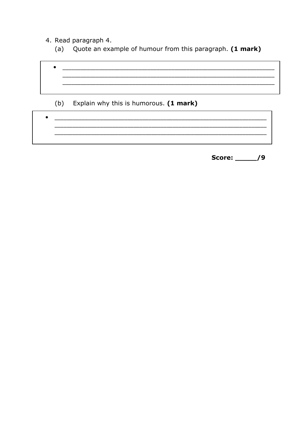4. Read paragraph 4.

 $\bullet$ 

 $\bullet$ 

Quote an example of humour from this paragraph. (1 mark)  $(a)$ 



Score: /9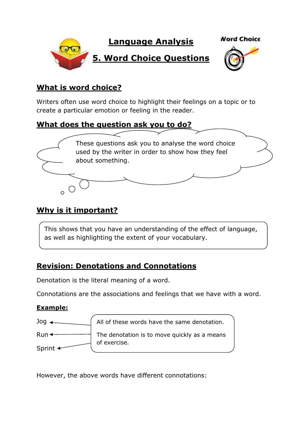

#### **What is word choice?**

Writers often use word choice to highlight their feelings on a topic or to create a particular emotion or feeling in the reader.

#### **What does the question ask you to do?**



### **Why is it important?**

This shows that you have an understanding of the effect of language, as well as highlighting the extent of your vocabulary.

### **Revision: Denotations and Connotations**

Denotation is the literal meaning of a word.

Connotations are the associations and feelings that we have with a word.

#### **Example:**



However, the above words have different connotations: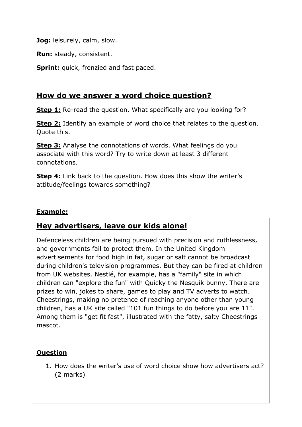**Jog:** leisurely, calm, slow.

**Run:** steady, consistent.

**Sprint:** quick, frenzied and fast paced.

#### **How do we answer a word choice question?**

**Step 1:** Re-read the question. What specifically are you looking for?

**Step 2:** Identify an example of word choice that relates to the question. Quote this.

**Step 3:** Analyse the connotations of words. What feelings do you associate with this word? Try to write down at least 3 different connotations.

**Step 4:** Link back to the question. How does this show the writer's attitude/feelings towards something?

#### **Example:**

### **Hey advertisers, leave our kids alone!**

Defenceless children are being pursued with precision and ruthlessness, and governments fail to protect them. In the United Kingdom advertisements for food high in fat, sugar or salt cannot be broadcast during children's television programmes. But they can be fired at children from UK websites. Nestlé, for example, has a "family" site in which children can "explore the fun" with Quicky the Nesquik bunny. There are prizes to win, jokes to share, games to play and TV adverts to watch. Cheestrings, making no pretence of reaching anyone other than young children, has a UK site called "101 fun things to do before you are 11". Among them is "get fit fast", illustrated with the fatty, salty Cheestrings mascot.

#### **Question**

1. How does the writer's use of word choice show how advertisers act? (2 marks)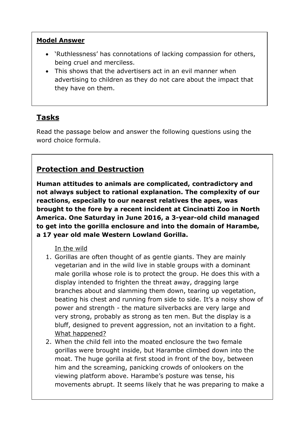#### **Model Answer**

- 'Ruthlessness' has connotations of lacking compassion for others, being cruel and merciless.
- This shows that the advertisers act in an evil manner when advertising to children as they do not care about the impact that they have on them.

# **Tasks**

Read the passage below and answer the following questions using the word choice formula.

### **Protection and Destruction**

**Human attitudes to animals are complicated, contradictory and not always subject to rational explanation. The complexity of our reactions, especially to our nearest relatives the apes, was brought to the fore by a recent incident at Cincinatti Zoo in North America. One Saturday in June 2016, a 3-year-old child managed to get into the gorilla enclosure and into the domain of Harambe, a 17 year old male Western Lowland Gorilla.**

#### In the wild

- 1. Gorillas are often thought of as gentle giants. They are mainly vegetarian and in the wild live in stable groups with a dominant male gorilla whose role is to protect the group. He does this with a display intended to frighten the threat away, dragging large branches about and slamming them down, tearing up vegetation, beating his chest and running from side to side. It's a noisy show of power and strength - the mature silverbacks are very large and very strong, probably as strong as ten men. But the display is a bluff, designed to prevent aggression, not an invitation to a fight. What happened?
- 2. When the child fell into the moated enclosure the two female gorillas were brought inside, but Harambe climbed down into the moat. The huge gorilla at first stood in front of the boy, between him and the screaming, panicking crowds of onlookers on the viewing platform above. Harambe's posture was tense, his movements abrupt. It seems likely that he was preparing to make a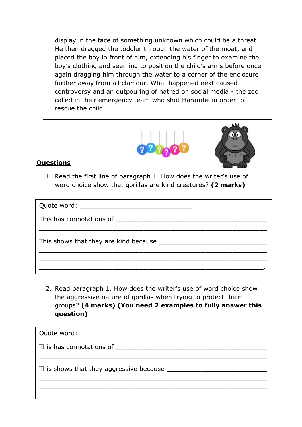display in the face of something unknown which could be a threat. He then dragged the toddler through the water of the moat, and placed the boy in front of him, extending his finger to examine the boy's clothing and seeming to position the child's arms before once again dragging him through the water to a corner of the enclosure further away from all clamour. What happened next caused controversy and an outpouring of hatred on social media - the zoo called in their emergency team who shot Harambe in order to rescue the child.





#### **Questions**

1. Read the first line of paragraph 1. How does the writer's use of word choice show that gorillas are kind creatures? **(2 marks)**

| This has connotations of the state of the state of the state of the state of the state of the state of the state of the state of the state of the state of the state of the state of the state of the state of the state of th |  |
|--------------------------------------------------------------------------------------------------------------------------------------------------------------------------------------------------------------------------------|--|
|                                                                                                                                                                                                                                |  |
|                                                                                                                                                                                                                                |  |
|                                                                                                                                                                                                                                |  |

2. Read paragraph 1. How does the writer's use of word choice show the aggressive nature of gorillas when trying to protect their groups? **(4 marks) (You need 2 examples to fully answer this question)**

| Quote word:                             |
|-----------------------------------------|
| This has connotations of                |
| This shows that they aggressive because |
|                                         |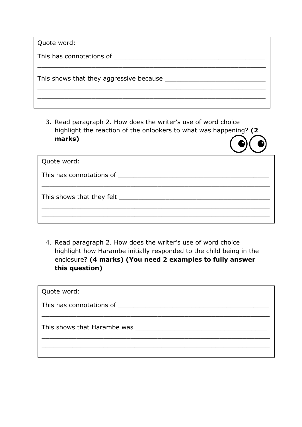| Quote word:                                   |
|-----------------------------------------------|
| This has connotations of                      |
| This shows that they aggressive because _____ |
|                                               |

3. Read paragraph 2. How does the writer's use of word choice highlight the reaction of the onlookers to what was happening? **(2 marks)**

| Quote word:                          |  |
|--------------------------------------|--|
| This has connotations of             |  |
| This shows that they felt __________ |  |
|                                      |  |

4. Read paragraph 2. How does the writer's use of word choice highlight how Harambe initially responded to the child being in the enclosure? **(4 marks) (You need 2 examples to fully answer this question)**

| Quote word:                 |
|-----------------------------|
| This has connotations of    |
| This shows that Harambe was |
|                             |